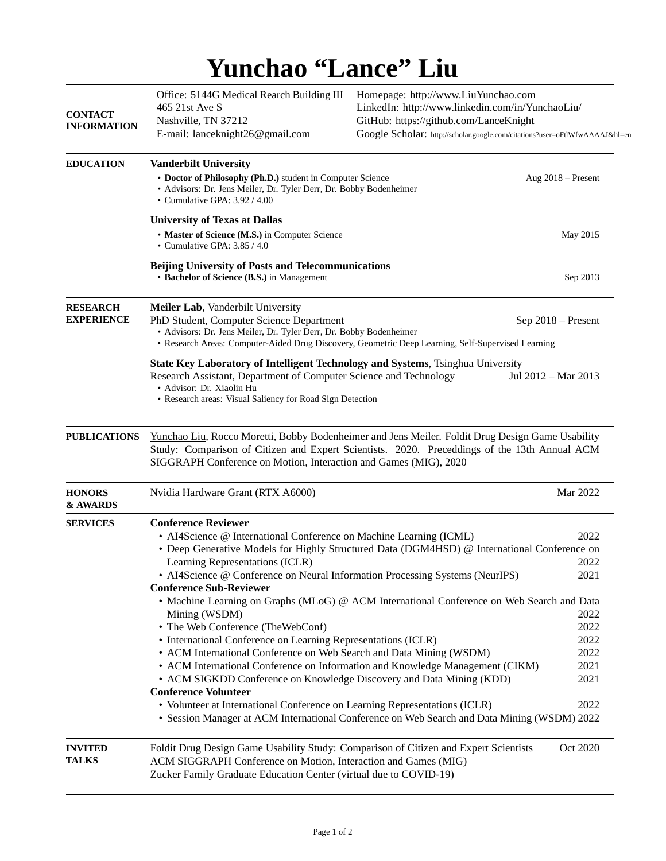## **Yunchao "Lance" Liu**

<span id="page-0-0"></span>

| <b>CONTACT</b><br><b>INFORMATION</b> | Office: 5144G Medical Rearch Building III<br>465 21st Ave S<br>Nashville, TN 37212<br>E-mail: lanceknight26@gmail.com                                                                                                                                                                                                                                                                                                                                                                                                                                                                                                                                                                                                     | Homepage: http://www.LiuYunchao.com<br>LinkedIn: http://www.linkedin.com/in/YunchaoLiu/<br>GitHub: https://github.com/LanceKnight<br>Google Scholar: http://scholar.google.com/citations?user=oFtlWfwAAAAJ&hl=en                                                                        |                                                                              |  |
|--------------------------------------|---------------------------------------------------------------------------------------------------------------------------------------------------------------------------------------------------------------------------------------------------------------------------------------------------------------------------------------------------------------------------------------------------------------------------------------------------------------------------------------------------------------------------------------------------------------------------------------------------------------------------------------------------------------------------------------------------------------------------|-----------------------------------------------------------------------------------------------------------------------------------------------------------------------------------------------------------------------------------------------------------------------------------------|------------------------------------------------------------------------------|--|
| <b>EDUCATION</b>                     | <b>Vanderbilt University</b><br>• Doctor of Philosophy (Ph.D.) student in Computer Science<br>• Advisors: Dr. Jens Meiler, Dr. Tyler Derr, Dr. Bobby Bodenheimer<br>• Cumulative GPA: 3.92 / 4.00                                                                                                                                                                                                                                                                                                                                                                                                                                                                                                                         |                                                                                                                                                                                                                                                                                         | Aug 2018 - Present                                                           |  |
|                                      | <b>University of Texas at Dallas</b><br>• Master of Science (M.S.) in Computer Science<br>• Cumulative GPA: 3.85 / 4.0                                                                                                                                                                                                                                                                                                                                                                                                                                                                                                                                                                                                    |                                                                                                                                                                                                                                                                                         | May 2015                                                                     |  |
|                                      | <b>Beijing University of Posts and Telecommunications</b><br>• Bachelor of Science (B.S.) in Management                                                                                                                                                                                                                                                                                                                                                                                                                                                                                                                                                                                                                   |                                                                                                                                                                                                                                                                                         | Sep 2013                                                                     |  |
| <b>RESEARCH</b><br><b>EXPERIENCE</b> | Meiler Lab, Vanderbilt University<br>PhD Student, Computer Science Department<br>• Advisors: Dr. Jens Meiler, Dr. Tyler Derr, Dr. Bobby Bodenheimer                                                                                                                                                                                                                                                                                                                                                                                                                                                                                                                                                                       | • Research Areas: Computer-Aided Drug Discovery, Geometric Deep Learning, Self-Supervised Learning                                                                                                                                                                                      | Sep 2018 - Present                                                           |  |
|                                      | State Key Laboratory of Intelligent Technology and Systems, Tsinghua University<br>Research Assistant, Department of Computer Science and Technology<br>• Advisor: Dr. Xiaolin Hu<br>• Research areas: Visual Saliency for Road Sign Detection                                                                                                                                                                                                                                                                                                                                                                                                                                                                            |                                                                                                                                                                                                                                                                                         | Jul 2012 – Mar 2013                                                          |  |
| <b>PUBLICATIONS</b>                  | Yunchao Liu, Rocco Moretti, Bobby Bodenheimer and Jens Meiler. Foldit Drug Design Game Usability<br>Study: Comparison of Citizen and Expert Scientists. 2020. Preceddings of the 13th Annual ACM<br>SIGGRAPH Conference on Motion, Interaction and Games (MIG), 2020                                                                                                                                                                                                                                                                                                                                                                                                                                                      |                                                                                                                                                                                                                                                                                         |                                                                              |  |
| <b>HONORS</b><br>& AWARDS            | Nvidia Hardware Grant (RTX A6000)                                                                                                                                                                                                                                                                                                                                                                                                                                                                                                                                                                                                                                                                                         |                                                                                                                                                                                                                                                                                         | Mar 2022                                                                     |  |
| <b>SERVICES</b>                      | <b>Conference Reviewer</b><br>• AI4Science @ International Conference on Machine Learning (ICML)<br>Learning Representations (ICLR)<br>• AI4Science @ Conference on Neural Information Processing Systems (NeurIPS)<br><b>Conference Sub-Reviewer</b><br>Mining (WSDM)<br>• The Web Conference (TheWebConf)<br>• International Conference on Learning Representations (ICLR)<br>• ACM International Conference on Web Search and Data Mining (WSDM)<br>• ACM International Conference on Information and Knowledge Management (CIKM)<br>• ACM SIGKDD Conference on Knowledge Discovery and Data Mining (KDD)<br><b>Conference Volunteer</b><br>• Volunteer at International Conference on Learning Representations (ICLR) | • Deep Generative Models for Highly Structured Data (DGM4HSD) @ International Conference on<br>• Machine Learning on Graphs (MLoG) @ ACM International Conference on Web Search and Data<br>• Session Manager at ACM International Conference on Web Search and Data Mining (WSDM) 2022 | 2022<br>2022<br>2021<br>2022<br>2022<br>2022<br>2022<br>2021<br>2021<br>2022 |  |
| <b>INVITED</b><br><b>TALKS</b>       | Foldit Drug Design Game Usability Study: Comparison of Citizen and Expert Scientists<br>ACM SIGGRAPH Conference on Motion, Interaction and Games (MIG)<br>Zucker Family Graduate Education Center (virtual due to COVID-19)                                                                                                                                                                                                                                                                                                                                                                                                                                                                                               |                                                                                                                                                                                                                                                                                         | Oct 2020                                                                     |  |